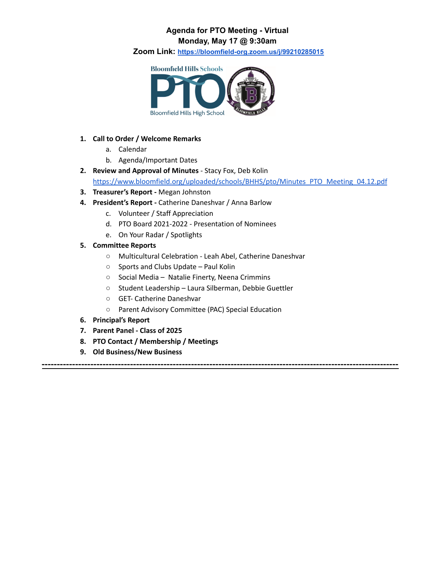## **Agenda for PTO Meeting - Virtual Monday, May 17 @ 9:30am**

**Zoom Link: <https://bloomfield-org.zoom.us/j/99210285015>**



## **1. Call to Order / Welcome Remarks**

- a. Calendar
- b. Agenda/Important Dates
- **2. Review and Approval of Minutes** Stacy Fox, Deb Kolin [https://www.bloomfield.org/uploaded/schools/BHHS/pto/Minutes\\_PTO\\_Meeting\\_04.12.pdf](https://www.bloomfield.org/uploaded/schools/BHHS/pto/Minutes_PTO_Meeting_04.12.pdf)

**---------------------------------------------------------------------------------------------------------------------**

- **3. Treasurer's Report -** Megan Johnston
- **4. President's Report -** Catherine Daneshvar / Anna Barlow
	- c. Volunteer / Staff Appreciation
	- d. PTO Board 2021-2022 Presentation of Nominees
	- e. On Your Radar / Spotlights
- **5. Committee Reports**
	- Multicultural Celebration Leah Abel, Catherine Daneshvar
	- Sports and Clubs Update Paul Kolin
	- Social Media Natalie Finerty, Neena Crimmins
	- Student Leadership Laura Silberman, Debbie Guettler
	- GET- Catherine Daneshvar
	- Parent Advisory Committee (PAC) Special Education
- **6. Principal's Report**
- **7. Parent Panel - Class of 2025**
- **8. PTO Contact / Membership / Meetings**
- **9. Old Business/New Business**